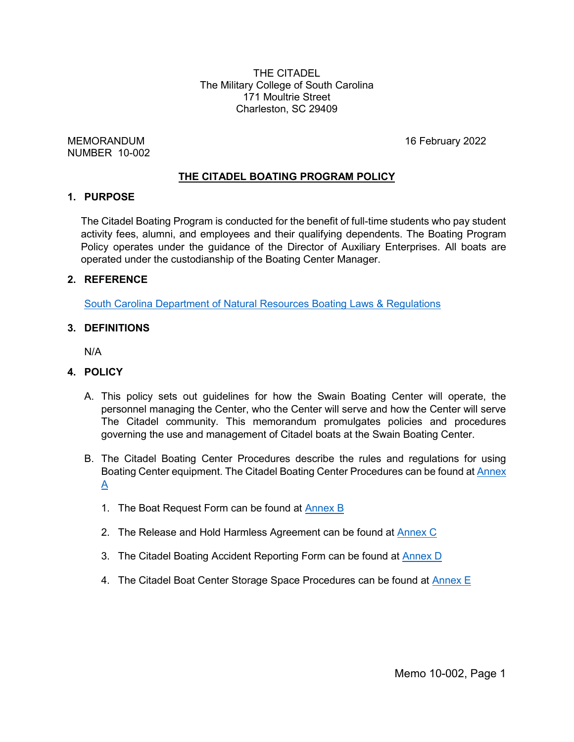THE CITADEL The Military College of South Carolina 171 Moultrie Street Charleston, SC 29409

MEMORANDUM 16 February 2022 NUMBER 10-002

#### **THE CITADEL BOATING PROGRAM POLICY**

#### **1. PURPOSE**

The Citadel Boating Program is conducted for the benefit of full-time students who pay student activity fees, alumni, and employees and their qualifying dependents. The Boating Program Policy operates under the guidance of the Director of Auxiliary Enterprises. All boats are operated under the custodianship of the Boating Center Manager.

#### **2. REFERENCE**

South Carolina Department of Natural Resources Boating [Laws & Regulations](https://www.boat-ed.com/southcarolina/handbook/)

#### **3. DEFINITIONS**

N/A

#### **4. POLICY**

- A. This policy sets out guidelines for how the Swain Boating Center will operate, the personnel managing the Center, who the Center will serve and how the Center will serve The Citadel community. This memorandum promulgates policies and procedures governing the use and management of Citadel boats at the Swain Boating Center.
- B. The Citadel Boating Center Procedures describe the rules and regulations for using Boating Center equipment. The Citadel Boating Center Procedures can be found at [Annex](https://acrobat.adobe.com/link/track?uri=urn:aaid:scds:US:59e1a399-238a-3dc3-8b96-39fdceb22438)   $\underline{A}$ 
	- 1. The Boat Request Form can be found at [Annex B](https://acrobat.adobe.com/link/track?uri=urn:aaid:scds:US:14c6c4ab-8bc1-3b3a-9df5-193f264e9f55)
	- 2. The Release and Hold Harmless Agreement can be found at [Annex C](https://acrobat.adobe.com/link/track?uri=urn:aaid:scds:US:cb3d4017-366d-3656-bfd8-6ade6d057d3c)
	- 3. The Citadel Boating Accident Reporting Form can be found at **Annex D**
	- 4. The Citadel Boat Center Storage Space Procedures can be found at [Annex E](https://acrobat.adobe.com/link/track?uri=urn:aaid:scds:US:473ffa75-efea-3873-8446-795bb8f1c732)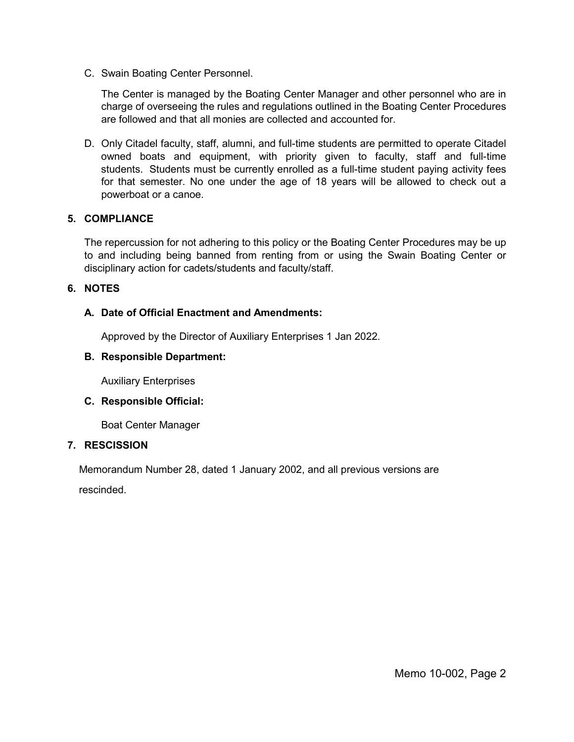C. Swain Boating Center Personnel.

The Center is managed by the Boating Center Manager and other personnel who are in charge of overseeing the rules and regulations outlined in the Boating Center Procedures are followed and that all monies are collected and accounted for.

D. Only Citadel faculty, staff, alumni, and full-time students are permitted to operate Citadel owned boats and equipment, with priority given to faculty, staff and full-time students. Students must be currently enrolled as a full-time student paying activity fees for that semester. No one under the age of 18 years will be allowed to check out a powerboat or a canoe.

#### **5. COMPLIANCE**

The repercussion for not adhering to this policy or the Boating Center Procedures may be up to and including being banned from renting from or using the Swain Boating Center or disciplinary action for cadets/students and faculty/staff.

#### **6. NOTES**

#### **A. Date of Official Enactment and Amendments:**

Approved by the Director of Auxiliary Enterprises 1 Jan 2022.

#### **B. Responsible Department:**

Auxiliary Enterprises

#### **C. Responsible Official:**

Boat Center Manager

#### **7. RESCISSION**

Memorandum Number 28, dated 1 January 2002, and all previous versions are

rescinded.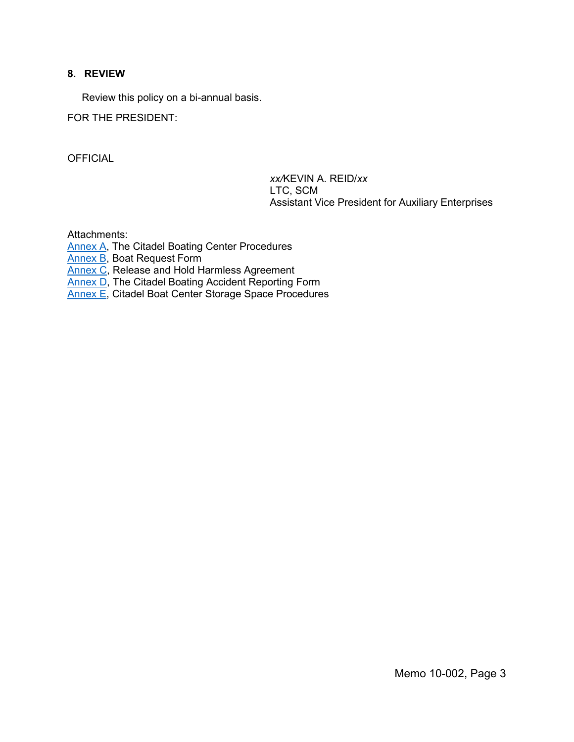#### **8. REVIEW**

Review this policy on a bi-annual basis.

FOR THE PRESIDENT:

**OFFICIAL** 

*xx/*KEVIN A. REID/*xx* LTC, SCM Assistant Vice President for Auxiliary Enterprises

Attachments:

[Annex A,](https://acrobat.adobe.com/link/track?uri=urn:aaid:scds:US:59e1a399-238a-3dc3-8b96-39fdceb22438) The Citadel Boating Center Procedures

[Annex B,](https://acrobat.adobe.com/link/track?uri=urn:aaid:scds:US:14c6c4ab-8bc1-3b3a-9df5-193f264e9f55) Boat Request Form

[Annex C,](https://acrobat.adobe.com/link/track?uri=urn:aaid:scds:US:cb3d4017-366d-3656-bfd8-6ade6d057d3c) Release and Hold Harmless Agreement

[Annex D,](https://acrobat.adobe.com/link/track?uri=urn:aaid:scds:US:72f4152e-87b5-3871-92c9-c394c036cad9) The Citadel Boating Accident Reporting Form

[Annex E,](https://acrobat.adobe.com/link/track?uri=urn:aaid:scds:US:473ffa75-efea-3873-8446-795bb8f1c732) Citadel Boat Center Storage Space Procedures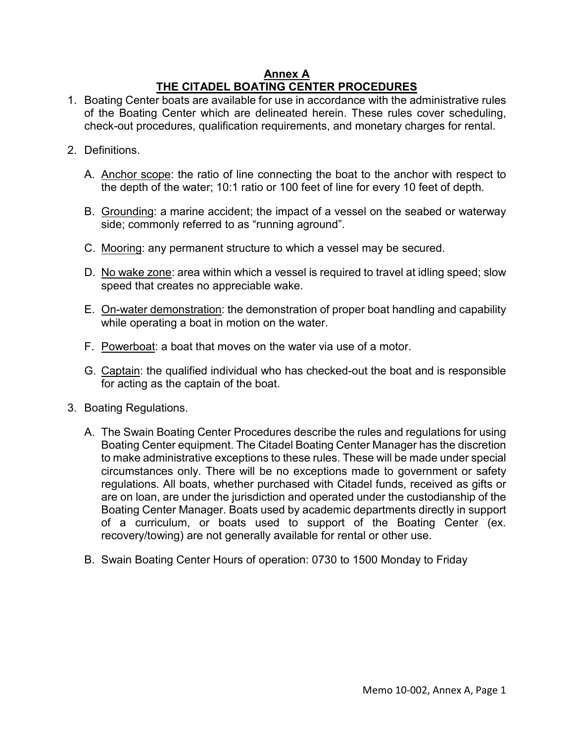#### **Annex A THE CITADEL BOATING CENTER PROCEDURES**

- 1. Boating Center boats are available for use in accordance with the administrative rules of the Boating Center which are delineated herein. These rules cover scheduling, check-out procedures, qualification requirements, and monetary charges for rental.
- 2. Definitions.
	- A. Anchor scope: the ratio of line connecting the boat to the anchor with respect to the depth of the water; 10:1 ratio or 100 feet of line for every 10 feet of depth.
	- B. Grounding: a marine accident; the impact of a vessel on the seabed or waterway side; commonly referred to as "running aground".
	- C. Mooring: any permanent structure to which a vessel may be secured.
	- D. No wake zone: area within which a vessel is required to travel at idling speed; slow speed that creates no appreciable wake.
	- E. On-water demonstration: the demonstration of proper boat handling and capability while operating a boat in motion on the water.
	- F. Powerboat: a boat that moves on the water via use of a motor.
	- G. Captain: the qualified individual who has checked-out the boat and is responsible for acting as the captain of the boat.
- 3. Boating Regulations.
	- A. The Swain Boating Center Procedures describe the rules and regulations for using Boating Center equipment. The Citadel Boating Center Manager has the discretion to make administrative exceptions to these rules. These will be made under special circumstances only. There will be no exceptions made to government or safety regulations. All boats, whether purchased with Citadel funds, received as gifts or are on loan, are under the jurisdiction and operated under the custodianship of the Boating Center Manager. Boats used by academic departments directly in support of a curriculum, or boats used to support of the Boating Center (ex. recovery/towing) are not generally available for rental or other use.
	- B. Swain Boating Center Hours of operation: 0730 to 1500 Monday to Friday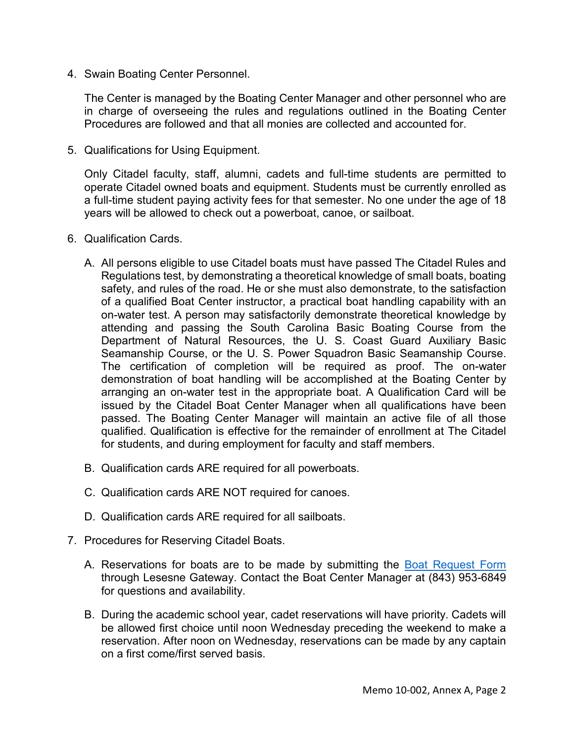4. Swain Boating Center Personnel.

The Center is managed by the Boating Center Manager and other personnel who are in charge of overseeing the rules and regulations outlined in the Boating Center Procedures are followed and that all monies are collected and accounted for.

5. Qualifications for Using Equipment.

Only Citadel faculty, staff, alumni, cadets and full-time students are permitted to operate Citadel owned boats and equipment. Students must be currently enrolled as a full-time student paying activity fees for that semester. No one under the age of 18 years will be allowed to check out a powerboat, canoe, or sailboat.

- 6. Qualification Cards.
	- A. All persons eligible to use Citadel boats must have passed The Citadel Rules and Regulations test, by demonstrating a theoretical knowledge of small boats, boating safety, and rules of the road. He or she must also demonstrate, to the satisfaction of a qualified Boat Center instructor, a practical boat handling capability with an on-water test. A person may satisfactorily demonstrate theoretical knowledge by attending and passing the South Carolina Basic Boating Course from the Department of Natural Resources, the U. S. Coast Guard Auxiliary Basic Seamanship Course, or the U. S. Power Squadron Basic Seamanship Course. The certification of completion will be required as proof. The on-water demonstration of boat handling will be accomplished at the Boating Center by arranging an on-water test in the appropriate boat. A Qualification Card will be issued by the Citadel Boat Center Manager when all qualifications have been passed. The Boating Center Manager will maintain an active file of all those qualified. Qualification is effective for the remainder of enrollment at The Citadel for students, and during employment for faculty and staff members.
	- B. Qualification cards ARE required for all powerboats.
	- C. Qualification cards ARE NOT required for canoes.
	- D. Qualification cards ARE required for all sailboats.
- 7. Procedures for Reserving Citadel Boats.
	- A. Reservations for boats are to be made by submitting the [Boat Request Form](http://www.citadel.edu/root/images/policies/boating-annex-b.pdf) through Lesesne Gateway. Contact the Boat Center Manager at (843) 953-6849 for questions and availability.
	- B. During the academic school year, cadet reservations will have priority. Cadets will be allowed first choice until noon Wednesday preceding the weekend to make a reservation. After noon on Wednesday, reservations can be made by any captain on a first come/first served basis.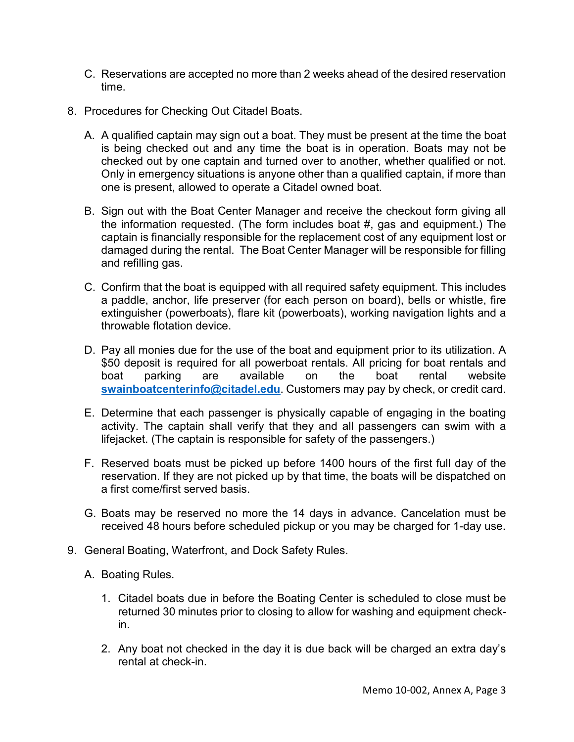- C. Reservations are accepted no more than 2 weeks ahead of the desired reservation time.
- 8. Procedures for Checking Out Citadel Boats.
	- A. A qualified captain may sign out a boat. They must be present at the time the boat is being checked out and any time the boat is in operation. Boats may not be checked out by one captain and turned over to another, whether qualified or not. Only in emergency situations is anyone other than a qualified captain, if more than one is present, allowed to operate a Citadel owned boat.
	- B. Sign out with the Boat Center Manager and receive the checkout form giving all the information requested. (The form includes boat #, gas and equipment.) The captain is financially responsible for the replacement cost of any equipment lost or damaged during the rental. The Boat Center Manager will be responsible for filling and refilling gas.
	- C. Confirm that the boat is equipped with all required safety equipment. This includes a paddle, anchor, life preserver (for each person on board), bells or whistle, fire extinguisher (powerboats), flare kit (powerboats), working navigation lights and a throwable flotation device.
	- D. Pay all monies due for the use of the boat and equipment prior to its utilization. A \$50 deposit is required for all powerboat rentals. All pricing for boat rentals and boat parking are available on the boat rental website **[swainboatcenterinfo@citadel.edu](mailto:swainboatcenterinfo@citadel.edu)**. Customers may pay by check, or credit card.
	- E. Determine that each passenger is physically capable of engaging in the boating activity. The captain shall verify that they and all passengers can swim with a lifejacket. (The captain is responsible for safety of the passengers.)
	- F. Reserved boats must be picked up before 1400 hours of the first full day of the reservation. If they are not picked up by that time, the boats will be dispatched on a first come/first served basis.
	- G. Boats may be reserved no more the 14 days in advance. Cancelation must be received 48 hours before scheduled pickup or you may be charged for 1-day use.
- 9. General Boating, Waterfront, and Dock Safety Rules.
	- A. Boating Rules.
		- 1. Citadel boats due in before the Boating Center is scheduled to close must be returned 30 minutes prior to closing to allow for washing and equipment checkin.
		- 2. Any boat not checked in the day it is due back will be charged an extra day's rental at check-in.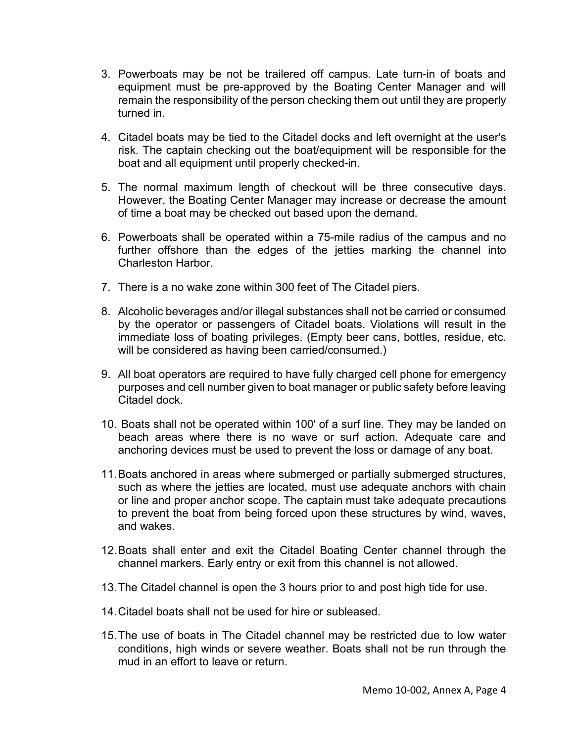- 3. Powerboats may be not be trailered off campus. Late turn-in of boats and equipment must be pre-approved by the Boating Center Manager and will remain the responsibility of the person checking them out until they are properly turned in.
- 4. Citadel boats may be tied to the Citadel docks and left overnight at the user's risk. The captain checking out the boat/equipment will be responsible for the boat and all equipment until properly checked-in.
- 5. The normal maximum length of checkout will be three consecutive days. However, the Boating Center Manager may increase or decrease the amount of time a boat may be checked out based upon the demand.
- 6. Powerboats shall be operated within a 75-mile radius of the campus and no further offshore than the edges of the jetties marking the channel into Charleston Harbor.
- 7. There is a no wake zone within 300 feet of The Citadel piers.
- 8. Alcoholic beverages and/or illegal substances shall not be carried or consumed by the operator or passengers of Citadel boats. Violations will result in the immediate loss of boating privileges. (Empty beer cans, bottles, residue, etc. will be considered as having been carried/consumed.)
- 9. All boat operators are required to have fully charged cell phone for emergency purposes and cell number given to boat manager or public safety before leaving Citadel dock.
- 10. Boats shall not be operated within 100' of a surf line. They may be landed on beach areas where there is no wave or surf action. Adequate care and anchoring devices must be used to prevent the loss or damage of any boat.
- 11.Boats anchored in areas where submerged or partially submerged structures, such as where the jetties are located, must use adequate anchors with chain or line and proper anchor scope. The captain must take adequate precautions to prevent the boat from being forced upon these structures by wind, waves, and wakes.
- 12.Boats shall enter and exit the Citadel Boating Center channel through the channel markers. Early entry or exit from this channel is not allowed.
- 13.The Citadel channel is open the 3 hours prior to and post high tide for use.
- 14.Citadel boats shall not be used for hire or subleased.
- 15.The use of boats in The Citadel channel may be restricted due to low water conditions, high winds or severe weather. Boats shall not be run through the mud in an effort to leave or return.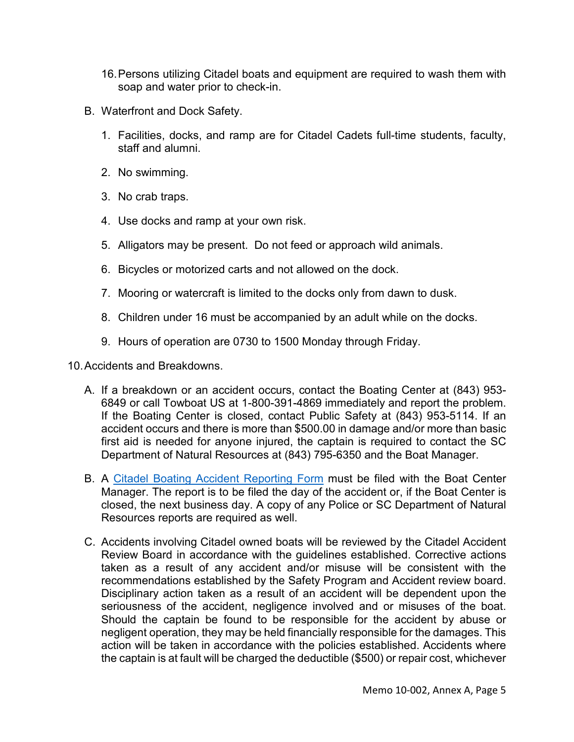- 16.Persons utilizing Citadel boats and equipment are required to wash them with soap and water prior to check-in.
- B. Waterfront and Dock Safety.
	- 1. Facilities, docks, and ramp are for Citadel Cadets full-time students, faculty, staff and alumni.
	- 2. No swimming.
	- 3. No crab traps.
	- 4. Use docks and ramp at your own risk.
	- 5. Alligators may be present. Do not feed or approach wild animals.
	- 6. Bicycles or motorized carts and not allowed on the dock.
	- 7. Mooring or watercraft is limited to the docks only from dawn to dusk.
	- 8. Children under 16 must be accompanied by an adult while on the docks.
	- 9. Hours of operation are 0730 to 1500 Monday through Friday.

10.Accidents and Breakdowns.

- A. If a breakdown or an accident occurs, contact the Boating Center at (843) 953- 6849 or call Towboat US at 1-800-391-4869 immediately and report the problem. If the Boating Center is closed, contact Public Safety at (843) 953-5114. If an accident occurs and there is more than \$500.00 in damage and/or more than basic first aid is needed for anyone injured, the captain is required to contact the SC Department of Natural Resources at (843) 795-6350 and the Boat Manager.
- B. A [Citadel Boating Accident Reporting Form](http://www.citadel.edu/root/images/policies/boating-annex-e.pdf) must be filed with the Boat Center Manager. The report is to be filed the day of the accident or, if the Boat Center is closed, the next business day. A copy of any Police or SC Department of Natural Resources reports are required as well.
- C. Accidents involving Citadel owned boats will be reviewed by the Citadel Accident Review Board in accordance with the guidelines established. Corrective actions taken as a result of any accident and/or misuse will be consistent with the recommendations established by the Safety Program and Accident review board. Disciplinary action taken as a result of an accident will be dependent upon the seriousness of the accident, negligence involved and or misuses of the boat. Should the captain be found to be responsible for the accident by abuse or negligent operation, they may be held financially responsible for the damages. This action will be taken in accordance with the policies established. Accidents where the captain is at fault will be charged the deductible (\$500) or repair cost, whichever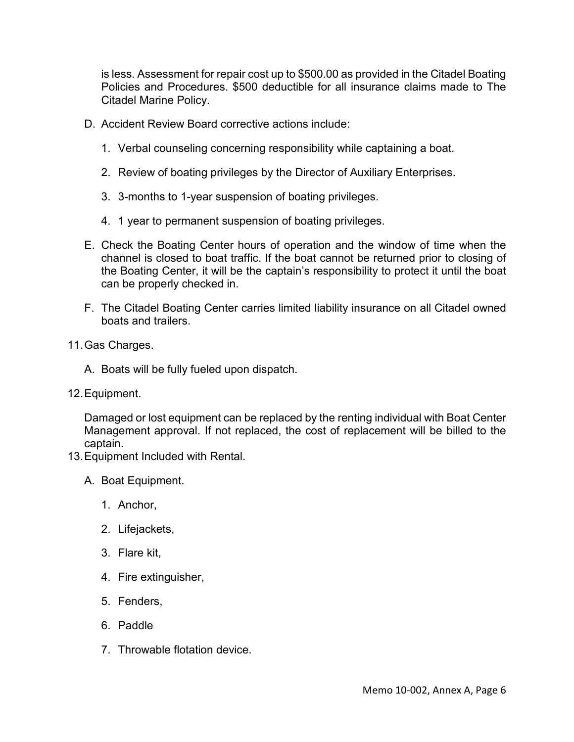is less. Assessment for repair cost up to \$500.00 as provided in the Citadel Boating Policies and Procedures. \$500 deductible for all insurance claims made to The Citadel Marine Policy.

- D. Accident Review Board corrective actions include:
	- 1. Verbal counseling concerning responsibility while captaining a boat.
	- 2. Review of boating privileges by the Director of Auxiliary Enterprises.
	- 3. 3-months to 1-year suspension of boating privileges.
	- 4. 1 year to permanent suspension of boating privileges.
- E. Check the Boating Center hours of operation and the window of time when the channel is closed to boat traffic. If the boat cannot be returned prior to closing of the Boating Center, it will be the captain's responsibility to protect it until the boat can be properly checked in.
- F. The Citadel Boating Center carries limited liability insurance on all Citadel owned boats and trailers.
- 11.Gas Charges.
	- A. Boats will be fully fueled upon dispatch.
- 12.Equipment.

Damaged or lost equipment can be replaced by the renting individual with Boat Center Management approval. If not replaced, the cost of replacement will be billed to the captain.

- 13.Equipment Included with Rental.
	- A. Boat Equipment.
		- 1. Anchor,
		- 2. Lifejackets,
		- 3. Flare kit,
		- 4. Fire extinguisher,
		- 5. Fenders,
		- 6. Paddle
		- 7. Throwable flotation device.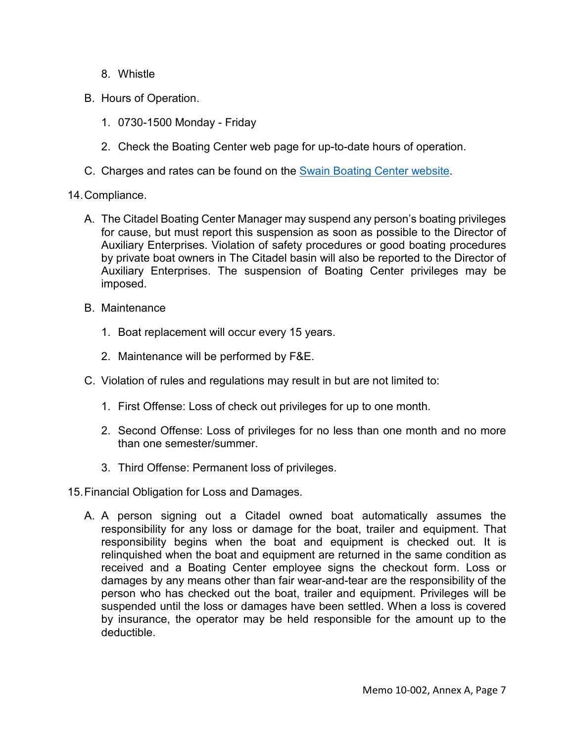- 8. Whistle
- B. Hours of Operation.
	- 1. 0730-1500 Monday Friday
	- 2. Check the Boating Center web page for up-to-date hours of operation.
- C. Charges and rates can be found on the **Swain Boating Center website**.
- 14.Compliance.
	- A. The Citadel Boating Center Manager may suspend any person's boating privileges for cause, but must report this suspension as soon as possible to the Director of Auxiliary Enterprises. Violation of safety procedures or good boating procedures by private boat owners in The Citadel basin will also be reported to the Director of Auxiliary Enterprises. The suspension of Boating Center privileges may be imposed.
	- B. Maintenance
		- 1. Boat replacement will occur every 15 years.
		- 2. Maintenance will be performed by F&E.
	- C. Violation of rules and regulations may result in but are not limited to:
		- 1. First Offense: Loss of check out privileges for up to one month.
		- 2. Second Offense: Loss of privileges for no less than one month and no more than one semester/summer.
		- 3. Third Offense: Permanent loss of privileges.
- 15.Financial Obligation for Loss and Damages.
	- A. A person signing out a Citadel owned boat automatically assumes the responsibility for any loss or damage for the boat, trailer and equipment. That responsibility begins when the boat and equipment is checked out. It is relinquished when the boat and equipment are returned in the same condition as received and a Boating Center employee signs the checkout form. Loss or damages by any means other than fair wear-and-tear are the responsibility of the person who has checked out the boat, trailer and equipment. Privileges will be suspended until the loss or damages have been settled. When a loss is covered by insurance, the operator may be held responsible for the amount up to the deductible.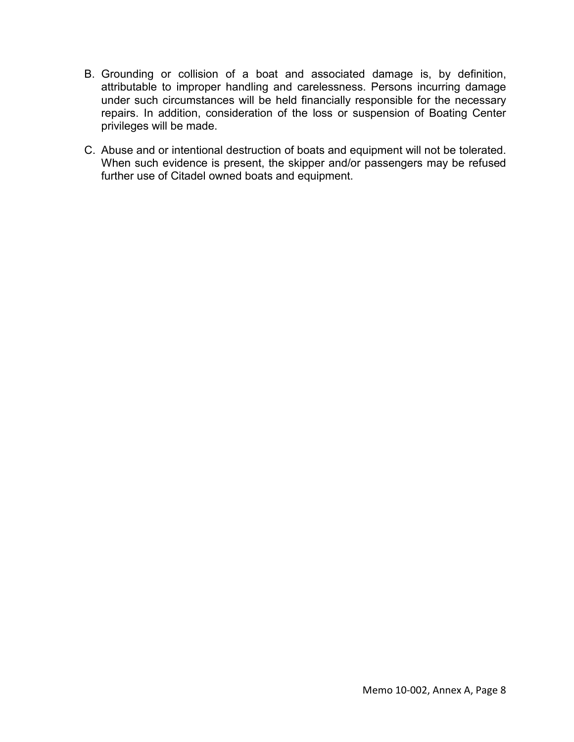- B. Grounding or collision of a boat and associated damage is, by definition, attributable to improper handling and carelessness. Persons incurring damage under such circumstances will be held financially responsible for the necessary repairs. In addition, consideration of the loss or suspension of Boating Center privileges will be made.
- C. Abuse and or intentional destruction of boats and equipment will not be tolerated. When such evidence is present, the skipper and/or passengers may be refused further use of Citadel owned boats and equipment.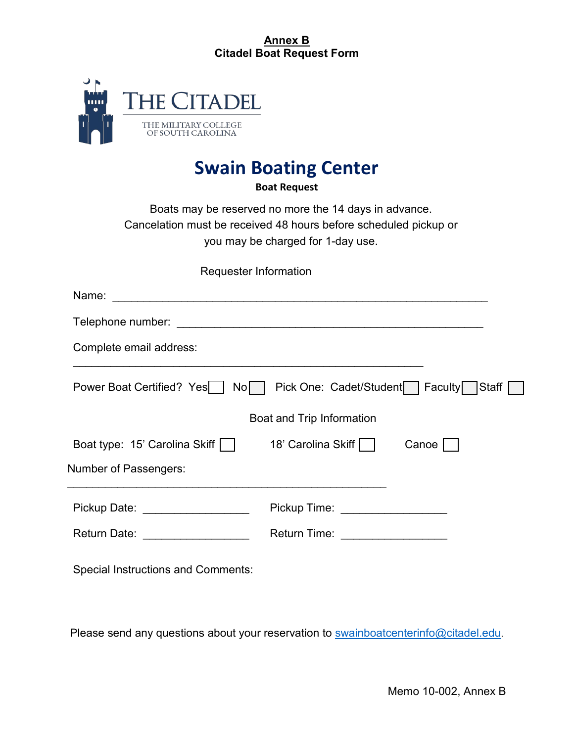## **Annex B Citadel Boat Request Form**



# **Swain Boating Center**

**Boat Request**

Boats may be reserved no more the 14 days in advance. Cancelation must be received 48 hours before scheduled pickup or you may be charged for 1-day use.

Requester Information

| Complete email address:                   |                                       |       |  |  |  |
|-------------------------------------------|---------------------------------------|-------|--|--|--|
| Power Boat Certified? Yes    <br>No I     | Pick One: Cadet/Student Faculty Staff |       |  |  |  |
| Boat and Trip Information                 |                                       |       |  |  |  |
| Boat type: 15' Carolina Skiff             | 18' Carolina Skiff                    | Canoe |  |  |  |
| Number of Passengers:                     |                                       |       |  |  |  |
| Pickup Date: ___________________          | Pickup Time: __________________       |       |  |  |  |
| Return Date: __________________           | Return Time: ___________________      |       |  |  |  |
| <b>Special Instructions and Comments:</b> |                                       |       |  |  |  |

Please send any questions about your reservation to [swainboatcenterinfo@citadel.edu.](mailto:swainboatcenterinfo@citadel.edu)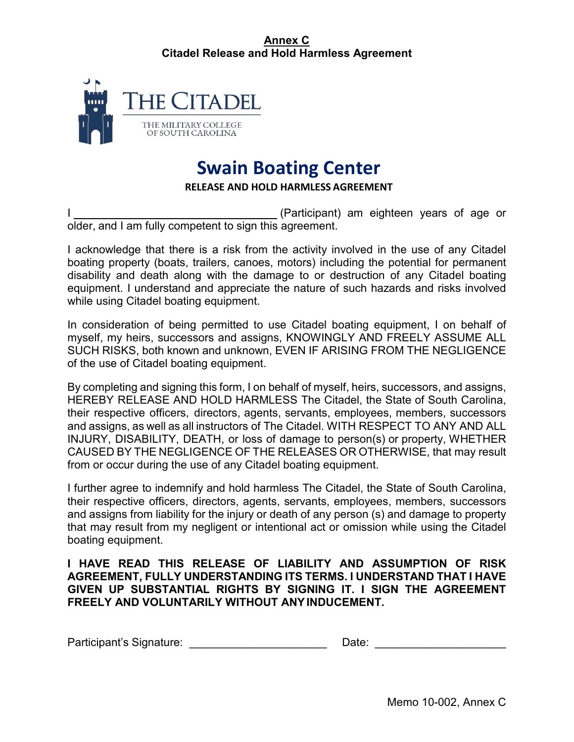## **Annex C Citadel Release and Hold Harmless Agreement**



# **Swain Boating Center**

#### **RELEASE AND HOLD HARMLESS AGREEMENT**

(Participant) am eighteen years of age or older, and I am fully competent to sign this agreement.

I acknowledge that there is a risk from the activity involved in the use of any Citadel boating property (boats, trailers, canoes, motors) including the potential for permanent disability and death along with the damage to or destruction of any Citadel boating equipment. I understand and appreciate the nature of such hazards and risks involved while using Citadel boating equipment.

In consideration of being permitted to use Citadel boating equipment, I on behalf of myself, my heirs, successors and assigns, KNOWINGLY AND FREELY ASSUME ALL SUCH RISKS, both known and unknown, EVEN IF ARISING FROM THE NEGLIGENCE of the use of Citadel boating equipment.

By completing and signing this form, I on behalf of myself, heirs, successors, and assigns, HEREBY RELEASE AND HOLD HARMLESS The Citadel, the State of South Carolina, their respective officers, directors, agents, servants, employees, members, successors and assigns, as well as all instructors of The Citadel. WITH RESPECT TO ANY AND ALL INJURY, DISABILITY, DEATH, or loss of damage to person(s) or property, WHETHER CAUSED BY THE NEGLIGENCE OF THE RELEASES OR OTHERWISE, that may result from or occur during the use of any Citadel boating equipment.

I further agree to indemnify and hold harmless The Citadel, the State of South Carolina, their respective officers, directors, agents, servants, employees, members, successors and assigns from liability for the injury or death of any person (s) and damage to property that may result from my negligent or intentional act or omission while using the Citadel boating equipment.

## **I HAVE READ THIS RELEASE OF LIABILITY AND ASSUMPTION OF RISK AGREEMENT, FULLY UNDERSTANDING ITS TERMS. I UNDERSTAND THAT I HAVE GIVEN UP SUBSTANTIAL RIGHTS BY SIGNING IT. I SIGN THE AGREEMENT FREELY AND VOLUNTARILY WITHOUT ANYINDUCEMENT.**

| Participant's Signature: | Date: |
|--------------------------|-------|
|--------------------------|-------|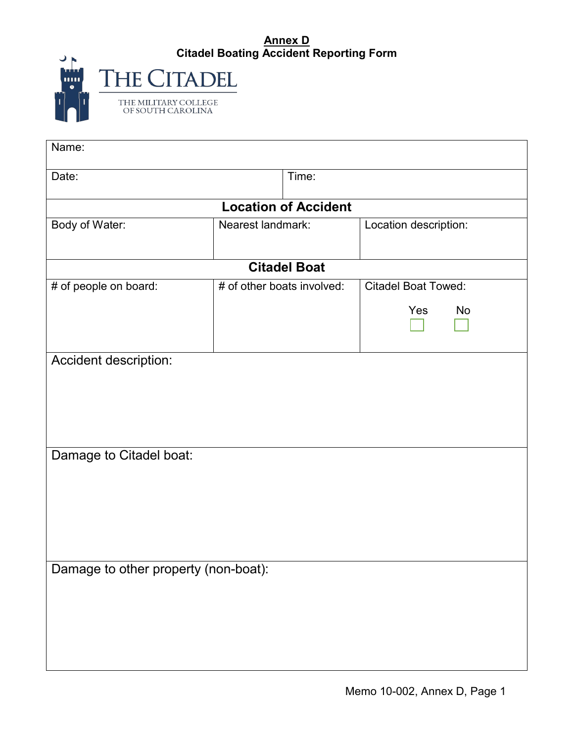## **Annex D Citadel Boating Accident Reporting Form**

| Gilduel Dud                               |
|-------------------------------------------|
| <b>HE CITADEL</b>                         |
| THE MILITARY COLLEGE<br>OF SOUTH CAROLINA |

| Name:                                |                            |                     |                            |  |  |  |
|--------------------------------------|----------------------------|---------------------|----------------------------|--|--|--|
| Date:                                |                            | Time:               |                            |  |  |  |
| <b>Location of Accident</b>          |                            |                     |                            |  |  |  |
| Body of Water:                       | Nearest landmark:          |                     | Location description:      |  |  |  |
|                                      |                            | <b>Citadel Boat</b> |                            |  |  |  |
| # of people on board:                | # of other boats involved: |                     | <b>Citadel Boat Towed:</b> |  |  |  |
|                                      |                            |                     | Yes<br>No                  |  |  |  |
| Accident description:                |                            |                     |                            |  |  |  |
| Damage to Citadel boat:              |                            |                     |                            |  |  |  |
| Damage to other property (non-boat): |                            |                     |                            |  |  |  |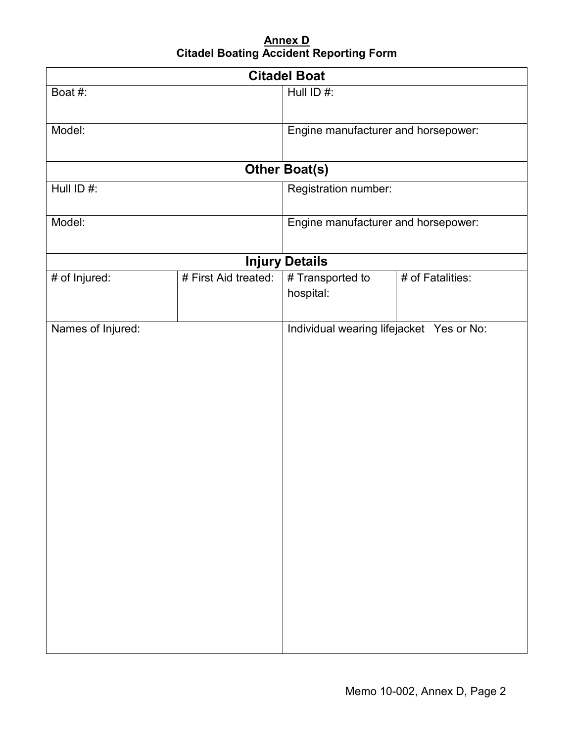## **Annex D Citadel Boating Accident Reporting Form**

| <b>Citadel Boat</b> |                      |                                          |                  |  |  |  |
|---------------------|----------------------|------------------------------------------|------------------|--|--|--|
| Boat #:             |                      | Hull ID #:                               |                  |  |  |  |
| Model:              |                      | Engine manufacturer and horsepower:      |                  |  |  |  |
|                     |                      | <b>Other Boat(s)</b>                     |                  |  |  |  |
| Hull $ID#$ :        |                      | Registration number:                     |                  |  |  |  |
| Model:              |                      | Engine manufacturer and horsepower:      |                  |  |  |  |
|                     |                      | <b>Injury Details</b>                    |                  |  |  |  |
| # of Injured:       | # First Aid treated: | # Transported to<br>hospital:            | # of Fatalities: |  |  |  |
| Names of Injured:   |                      | Individual wearing lifejacket Yes or No: |                  |  |  |  |